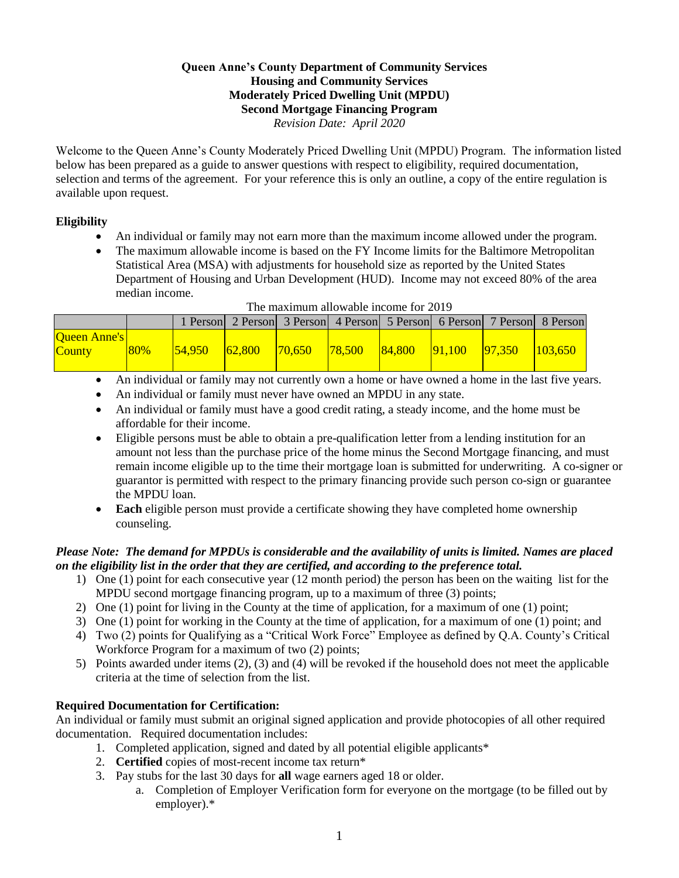#### **Queen Anne's County Department of Community Services Housing and Community Services Moderately Priced Dwelling Unit (MPDU) Second Mortgage Financing Program** *Revision Date: April 2020*

Welcome to the Queen Anne's County Moderately Priced Dwelling Unit (MPDU) Program. The information listed below has been prepared as a guide to answer questions with respect to eligibility, required documentation, selection and terms of the agreement. For your reference this is only an outline, a copy of the entire regulation is available upon request.

# **Eligibility**

- An individual or family may not earn more than the maximum income allowed under the program.
- The maximum allowable income is based on the FY Income limits for the Baltimore Metropolitan Statistical Area (MSA) with adjustments for household size as reported by the United States Department of Housing and Urban Development (HUD). Income may not exceed 80% of the area median income.

|                                      |     |         |        |        |        |                  |                 |        | 1 Person 2 Person 3 Person 4 Person 5 Person 6 Person 7 Person 8 Person |
|--------------------------------------|-----|---------|--------|--------|--------|------------------|-----------------|--------|-------------------------------------------------------------------------|
| <b>Oueen Anne's</b><br><b>County</b> | 80% | 154.950 | 62,800 | 70.650 | 78,500 | $ 84,800\rangle$ | $\sqrt{91,100}$ | 97.350 | 103.650                                                                 |

#### The maximum allowable income for 2019

- An individual or family may not currently own a home or have owned a home in the last five years.
- An individual or family must never have owned an MPDU in any state.
- An individual or family must have a good credit rating, a steady income, and the home must be affordable for their income.
- Eligible persons must be able to obtain a pre-qualification letter from a lending institution for an amount not less than the purchase price of the home minus the Second Mortgage financing, and must remain income eligible up to the time their mortgage loan is submitted for underwriting. A co-signer or guarantor is permitted with respect to the primary financing provide such person co-sign or guarantee the MPDU loan.
- **Each** eligible person must provide a certificate showing they have completed home ownership counseling.

# *Please Note: The demand for MPDUs is considerable and the availability of units is limited. Names are placed on the eligibility list in the order that they are certified, and according to the preference total.*

- 1) One (1) point for each consecutive year (12 month period) the person has been on the waiting list for the MPDU second mortgage financing program, up to a maximum of three (3) points;
- 2) One (1) point for living in the County at the time of application, for a maximum of one (1) point;
- 3) One (1) point for working in the County at the time of application, for a maximum of one (1) point; and
- 4) Two (2) points for Qualifying as a "Critical Work Force" Employee as defined by Q.A. County's Critical Workforce Program for a maximum of two (2) points;
- 5) Points awarded under items (2), (3) and (4) will be revoked if the household does not meet the applicable criteria at the time of selection from the list.

# **Required Documentation for Certification:**

An individual or family must submit an original signed application and provide photocopies of all other required documentation. Required documentation includes:

- 1. Completed application, signed and dated by all potential eligible applicants\*
- 2. **Certified** copies of most-recent income tax return\*
- 3. Pay stubs for the last 30 days for **all** wage earners aged 18 or older.
	- a. Completion of Employer Verification form for everyone on the mortgage (to be filled out by employer).\*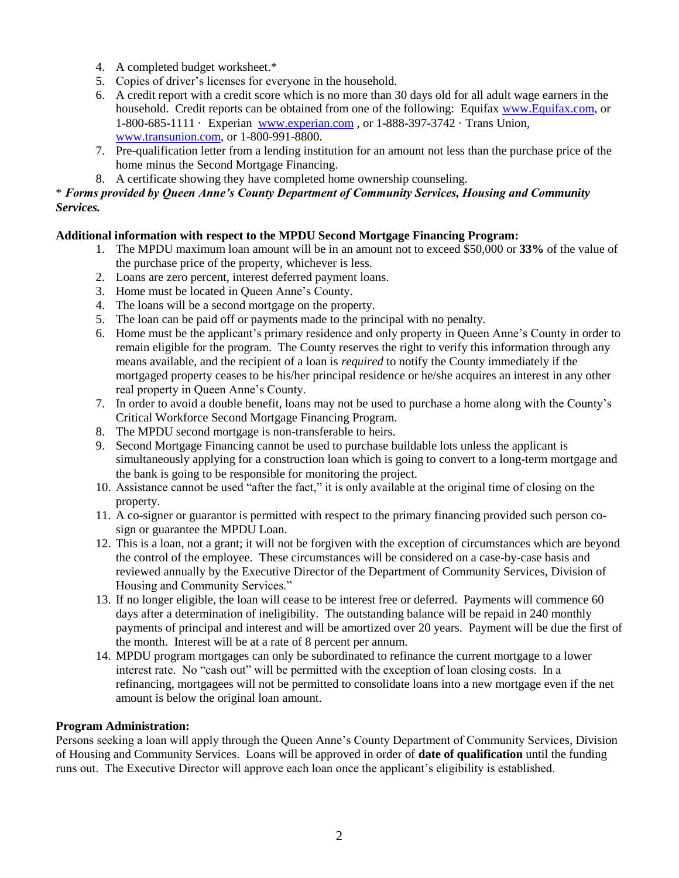- 4. A completed budget worksheet.\*
- 5. Copies of driver's licenses for everyone in the household.
- 6. A credit report with a credit score which is no more than 30 days old for all adult wage earners in the household. Credit reports can be obtained from one of the following: Equifax [www.Equifax.com,](http://www.equifax.com/) or 1-800-685-1111 · Experian [www.experian.com](http://www.experian.com/) , or 1-888-397-3742 · Trans Union, [www.transunion.com,](http://www.transunion.com/) or 1-800-991-8800.
- 7. Pre-qualification letter from a lending institution for an amount not less than the purchase price of the home minus the Second Mortgage Financing.
- 8. A certificate showing they have completed home ownership counseling.

# \* *Forms provided by Queen Anne's County Department of Community Services, Housing and Community Services.*

# **Additional information with respect to the MPDU Second Mortgage Financing Program:**

- 1. The MPDU maximum loan amount will be in an amount not to exceed \$50,000 or **33%** of the value of the purchase price of the property, whichever is less.
- 2. Loans are zero percent, interest deferred payment loans.
- 3. Home must be located in Queen Anne's County.
- 4. The loans will be a second mortgage on the property.
- 5. The loan can be paid off or payments made to the principal with no penalty.
- 6. Home must be the applicant's primary residence and only property in Queen Anne's County in order to remain eligible for the program. The County reserves the right to verify this information through any means available, and the recipient of a loan is *required* to notify the County immediately if the mortgaged property ceases to be his/her principal residence or he/she acquires an interest in any other real property in Queen Anne's County.
- 7. In order to avoid a double benefit, loans may not be used to purchase a home along with the County's Critical Workforce Second Mortgage Financing Program.
- 8. The MPDU second mortgage is non-transferable to heirs.
- 9. Second Mortgage Financing cannot be used to purchase buildable lots unless the applicant is simultaneously applying for a construction loan which is going to convert to a long-term mortgage and the bank is going to be responsible for monitoring the project.
- 10. Assistance cannot be used "after the fact," it is only available at the original time of closing on the property.
- 11. A co-signer or guarantor is permitted with respect to the primary financing provided such person cosign or guarantee the MPDU Loan.
- 12. This is a loan, not a grant; it will not be forgiven with the exception of circumstances which are beyond the control of the employee. These circumstances will be considered on a case-by-case basis and reviewed annually by the Executive Director of the Department of Community Services, Division of Housing and Community Services."
- 13. If no longer eligible, the loan will cease to be interest free or deferred. Payments will commence 60 days after a determination of ineligibility. The outstanding balance will be repaid in 240 monthly payments of principal and interest and will be amortized over 20 years. Payment will be due the first of the month. Interest will be at a rate of 8 percent per annum.
- 14. MPDU program mortgages can only be subordinated to refinance the current mortgage to a lower interest rate. No "cash out" will be permitted with the exception of loan closing costs. In a refinancing, mortgagees will not be permitted to consolidate loans into a new mortgage even if the net amount is below the original loan amount.

# **Program Administration:**

Persons seeking a loan will apply through the Queen Anne's County Department of Community Services, Division of Housing and Community Services. Loans will be approved in order of **date of qualification** until the funding runs out. The Executive Director will approve each loan once the applicant's eligibility is established.